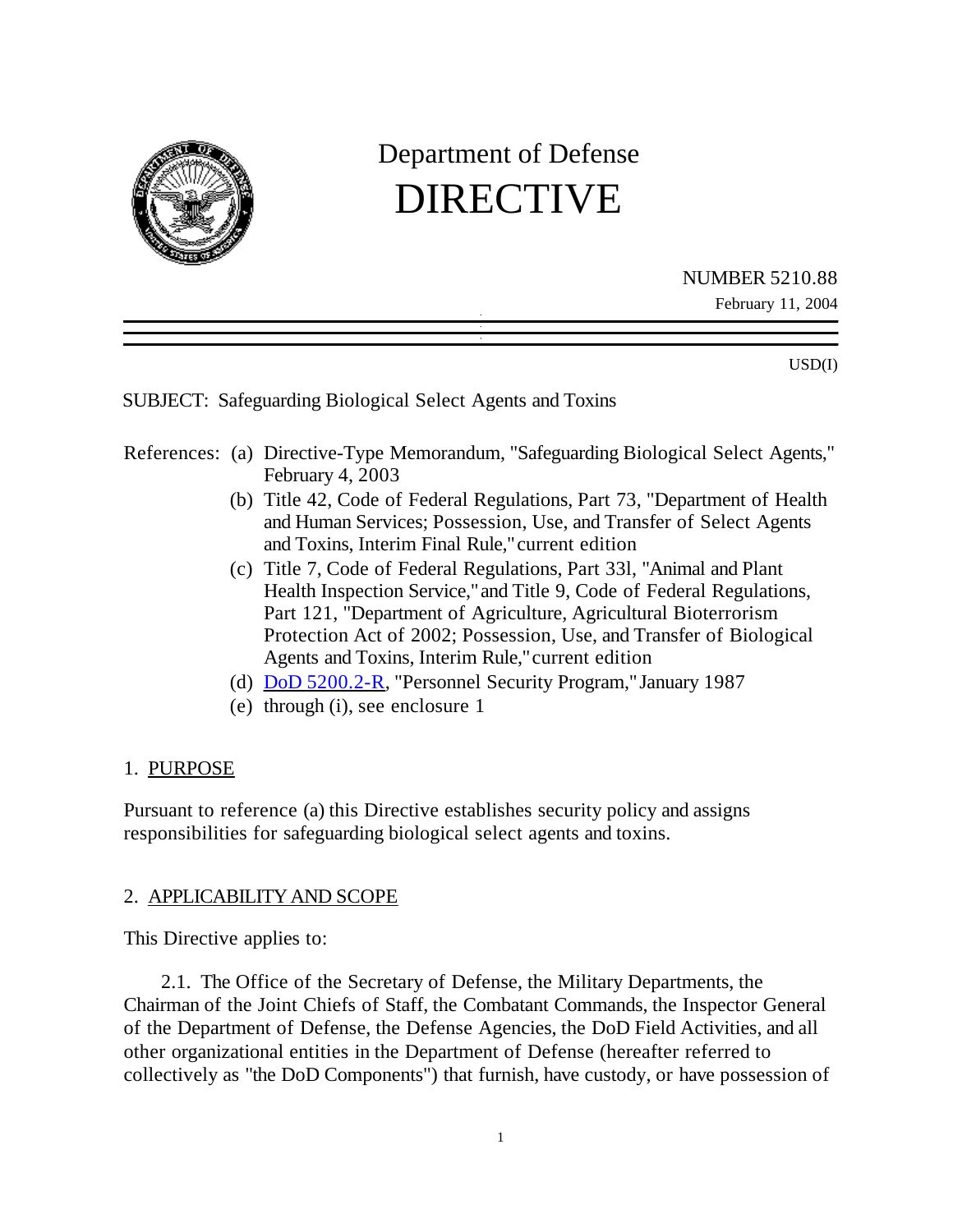

# Department of Defense DIRECTIVE

NUMBER 5210.88 February 11, 2004

USD(I)

SUBJECT: Safeguarding Biological Select Agents and Toxins

# References: (a) Directive-Type Memorandum, "Safeguarding Biological Select Agents," February 4, 2003

- (b) Title 42, Code of Federal Regulations, Part 73, "Department of Health and Human Services; Possession, Use, and Transfer of Select Agents and Toxins, Interim Final Rule," current edition
- (c) Title 7, Code of Federal Regulations, Part 33l, "Animal and Plant Health Inspection Service," and Title 9, Code of Federal Regulations, Part 121, "Department of Agriculture, Agricultural Bioterrorism Protection Act of 2002; Possession, Use, and Transfer of Biological Agents and Toxins, Interim Rule," current edition
- (d) DoD 5200.2-R, "Personnel Security Program," January 1987
- (e) through (i), see enclosure 1

## 1. PURPOSE

Pursuant to reference (a) this Directive establishes security policy and assigns responsibilities for safeguarding biological select agents and toxins.

## 2. APPLICABILITY AND SCOPE

This Directive applies to:

2.1. The Office of the Secretary of Defense, the Military Departments, the Chairman of the Joint Chiefs of Staff, the Combatant Commands, the Inspector General of the Department of Defense, the Defense Agencies, the DoD Field Activities, and all other organizational entities in the Department of Defense (hereafter referred to collectively as "the DoD Components") that furnish, have custody, or have possession of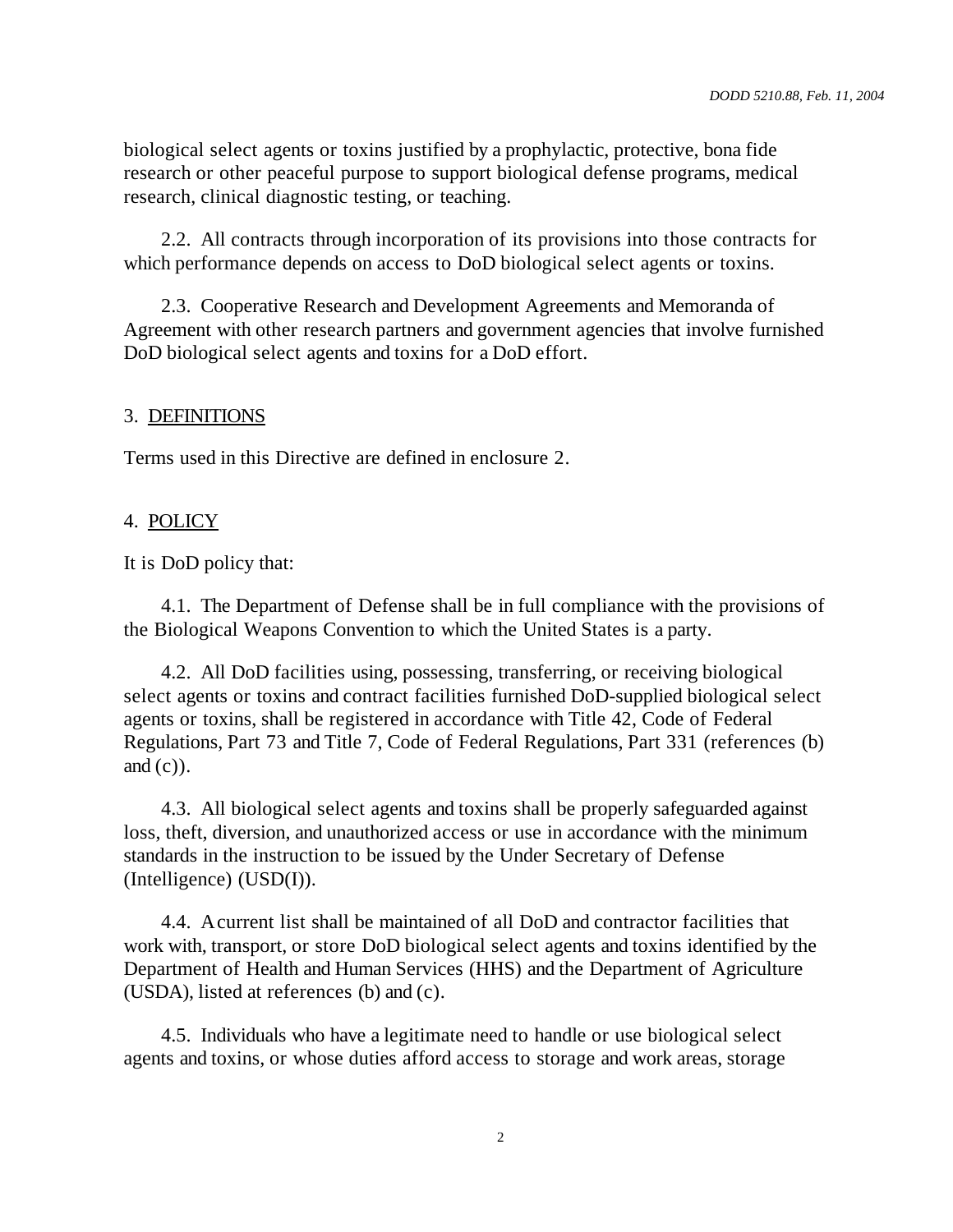biological select agents or toxins justified by a prophylactic, protective, bona fide research or other peaceful purpose to support biological defense programs, medical research, clinical diagnostic testing, or teaching.

2.2. All contracts through incorporation of its provisions into those contracts for which performance depends on access to DoD biological select agents or toxins.

2.3. Cooperative Research and Development Agreements and Memoranda of Agreement with other research partners and government agencies that involve furnished DoD biological select agents and toxins for a DoD effort.

# 3. DEFINITIONS

Terms used in this Directive are defined in enclosure 2.

# 4. POLICY

It is DoD policy that:

4.1. The Department of Defense shall be in full compliance with the provisions of the Biological Weapons Convention to which the United States is a party.

4.2. All DoD facilities using, possessing, transferring, or receiving biological select agents or toxins and contract facilities furnished DoD-supplied biological select agents or toxins, shall be registered in accordance with Title 42, Code of Federal Regulations, Part 73 and Title 7, Code of Federal Regulations, Part 331 (references (b) and  $(c)$ ).

4.3. All biological select agents and toxins shall be properly safeguarded against loss, theft, diversion, and unauthorized access or use in accordance with the minimum standards in the instruction to be issued by the Under Secretary of Defense (Intelligence) (USD(I)).

4.4. A current list shall be maintained of all DoD and contractor facilities that work with, transport, or store DoD biological select agents and toxins identified by the Department of Health and Human Services (HHS) and the Department of Agriculture (USDA), listed at references (b) and (c).

4.5. Individuals who have a legitimate need to handle or use biological select agents and toxins, or whose duties afford access to storage and work areas, storage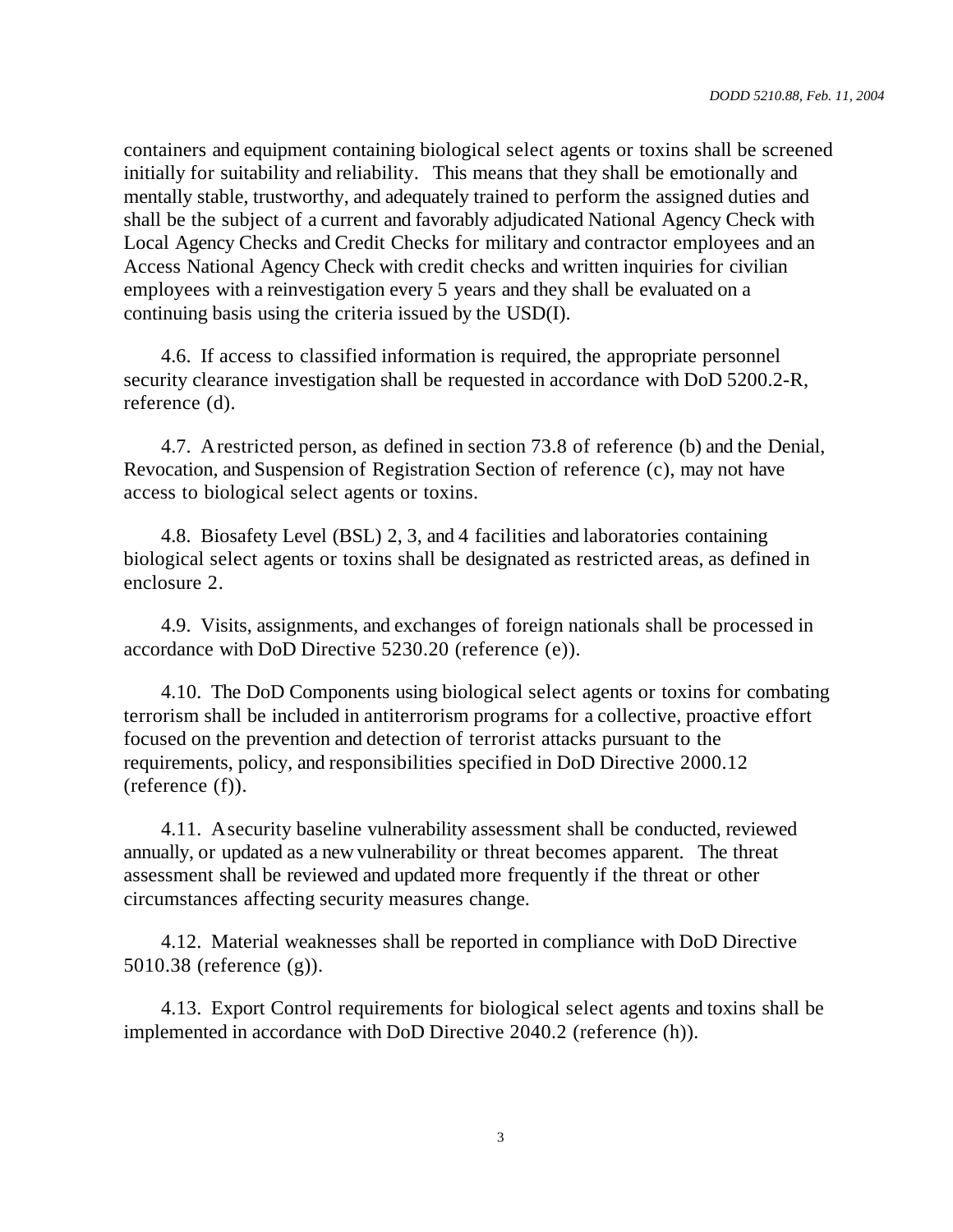containers and equipment containing biological select agents or toxins shall be screened initially for suitability and reliability. This means that they shall be emotionally and mentally stable, trustworthy, and adequately trained to perform the assigned duties and shall be the subject of a current and favorably adjudicated National Agency Check with Local Agency Checks and Credit Checks for military and contractor employees and an Access National Agency Check with credit checks and written inquiries for civilian employees with a reinvestigation every 5 years and they shall be evaluated on a continuing basis using the criteria issued by the USD(I).

4.6. If access to classified information is required, the appropriate personnel security clearance investigation shall be requested in accordance with DoD 5200.2-R, reference (d).

4.7. A restricted person, as defined in section 73.8 of reference (b) and the Denial, Revocation, and Suspension of Registration Section of reference (c), may not have access to biological select agents or toxins.

4.8. Biosafety Level (BSL) 2, 3, and 4 facilities and laboratories containing biological select agents or toxins shall be designated as restricted areas, as defined in enclosure 2.

4.9. Visits, assignments, and exchanges of foreign nationals shall be processed in accordance with DoD Directive 5230.20 (reference (e)).

4.10. The DoD Components using biological select agents or toxins for combating terrorism shall be included in antiterrorism programs for a collective, proactive effort focused on the prevention and detection of terrorist attacks pursuant to the requirements, policy, and responsibilities specified in DoD Directive 2000.12 (reference (f)).

4.11. A security baseline vulnerability assessment shall be conducted, reviewed annually, or updated as a new vulnerability or threat becomes apparent. The threat assessment shall be reviewed and updated more frequently if the threat or other circumstances affecting security measures change.

4.12. Material weaknesses shall be reported in compliance with DoD Directive 5010.38 (reference (g)).

4.13. Export Control requirements for biological select agents and toxins shall be implemented in accordance with DoD Directive 2040.2 (reference (h)).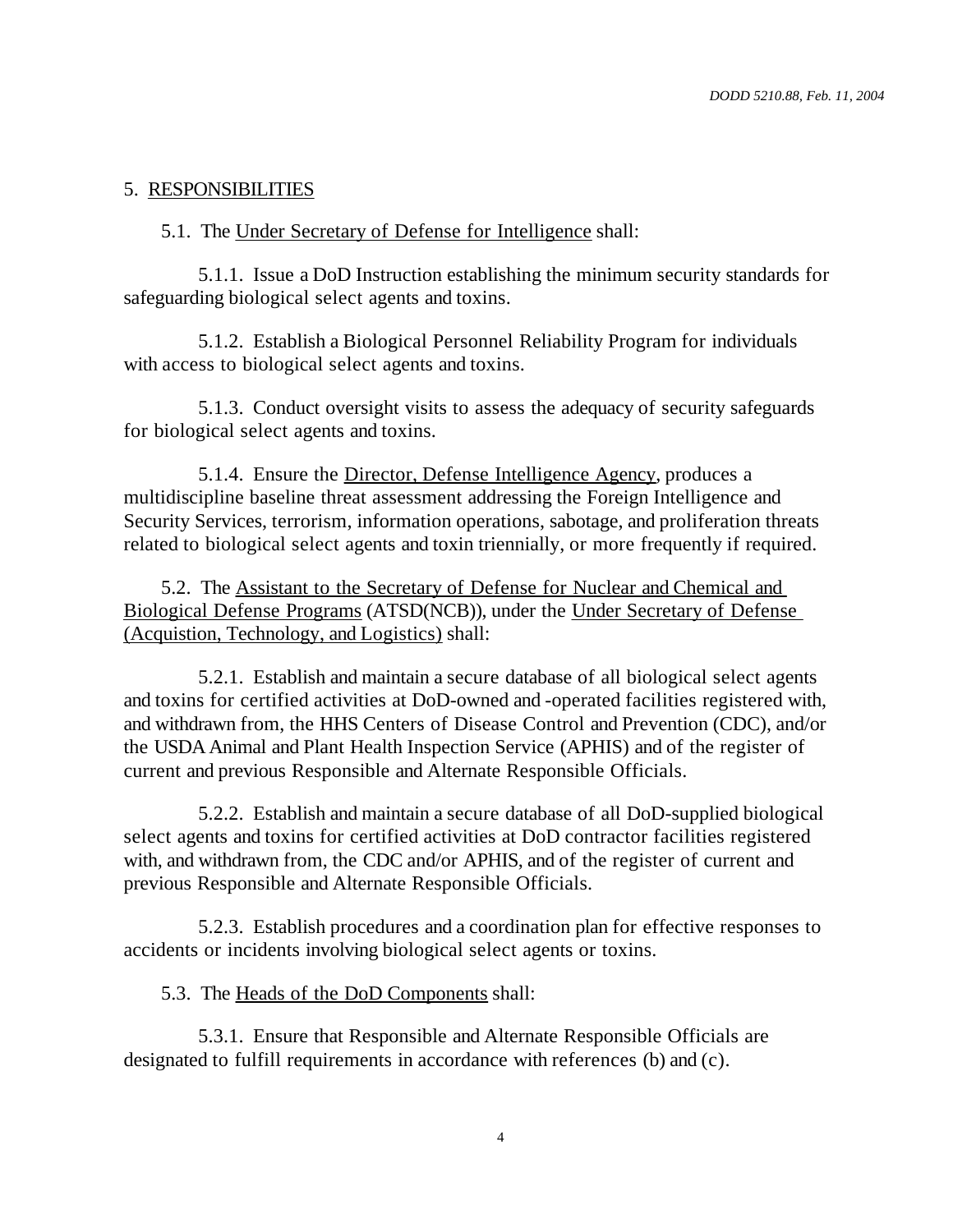## 5. RESPONSIBILITIES

#### 5.1. The Under Secretary of Defense for Intelligence shall:

5.1.1. Issue a DoD Instruction establishing the minimum security standards for safeguarding biological select agents and toxins.

5.1.2. Establish a Biological Personnel Reliability Program for individuals with access to biological select agents and toxins.

5.1.3. Conduct oversight visits to assess the adequacy of security safeguards for biological select agents and toxins.

5.1.4. Ensure the Director, Defense Intelligence Agency, produces a multidiscipline baseline threat assessment addressing the Foreign Intelligence and Security Services, terrorism, information operations, sabotage, and proliferation threats related to biological select agents and toxin triennially, or more frequently if required.

5.2. The Assistant to the Secretary of Defense for Nuclear and Chemical and Biological Defense Programs (ATSD(NCB)), under the Under Secretary of Defense (Acquistion, Technology, and Logistics) shall:

5.2.1. Establish and maintain a secure database of all biological select agents and toxins for certified activities at DoD-owned and -operated facilities registered with, and withdrawn from, the HHS Centers of Disease Control and Prevention (CDC), and/or the USDA Animal and Plant Health Inspection Service (APHIS) and of the register of current and previous Responsible and Alternate Responsible Officials.

5.2.2. Establish and maintain a secure database of all DoD-supplied biological select agents and toxins for certified activities at DoD contractor facilities registered with, and withdrawn from, the CDC and/or APHIS, and of the register of current and previous Responsible and Alternate Responsible Officials.

5.2.3. Establish procedures and a coordination plan for effective responses to accidents or incidents involving biological select agents or toxins.

5.3. The Heads of the DoD Components shall:

5.3.1. Ensure that Responsible and Alternate Responsible Officials are designated to fulfill requirements in accordance with references (b) and (c).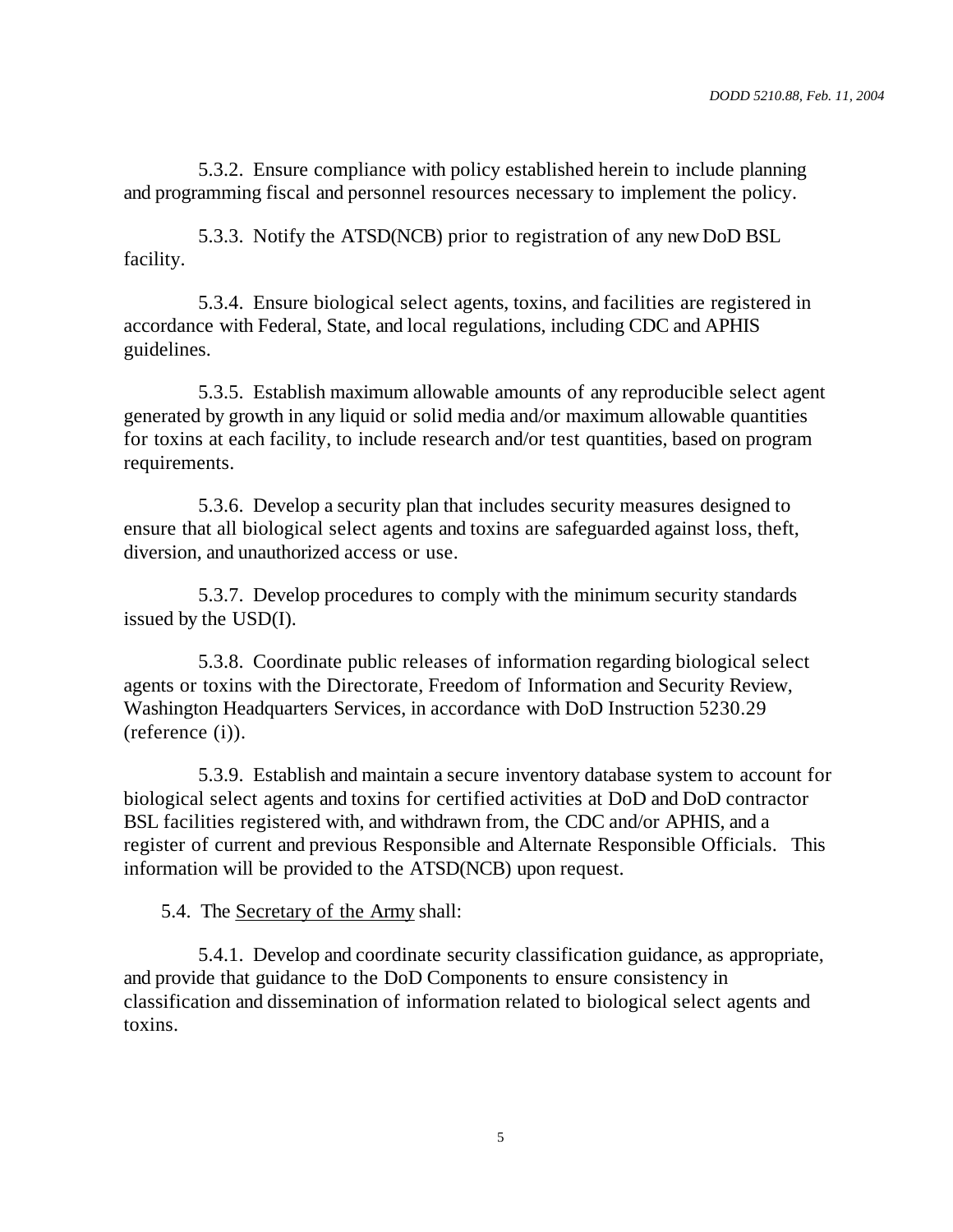5.3.2. Ensure compliance with policy established herein to include planning and programming fiscal and personnel resources necessary to implement the policy.

5.3.3. Notify the ATSD(NCB) prior to registration of any new DoD BSL facility.

5.3.4. Ensure biological select agents, toxins, and facilities are registered in accordance with Federal, State, and local regulations, including CDC and APHIS guidelines.

5.3.5. Establish maximum allowable amounts of any reproducible select agent generated by growth in any liquid or solid media and/or maximum allowable quantities for toxins at each facility, to include research and/or test quantities, based on program requirements.

5.3.6. Develop a security plan that includes security measures designed to ensure that all biological select agents and toxins are safeguarded against loss, theft, diversion, and unauthorized access or use.

5.3.7. Develop procedures to comply with the minimum security standards issued by the USD(I).

5.3.8. Coordinate public releases of information regarding biological select agents or toxins with the Directorate, Freedom of Information and Security Review, Washington Headquarters Services, in accordance with DoD Instruction 5230.29 (reference (i)).

5.3.9. Establish and maintain a secure inventory database system to account for biological select agents and toxins for certified activities at DoD and DoD contractor BSL facilities registered with, and withdrawn from, the CDC and/or APHIS, and a register of current and previous Responsible and Alternate Responsible Officials. This information will be provided to the ATSD(NCB) upon request.

5.4. The Secretary of the Army shall:

5.4.1. Develop and coordinate security classification guidance, as appropriate, and provide that guidance to the DoD Components to ensure consistency in classification and dissemination of information related to biological select agents and toxins.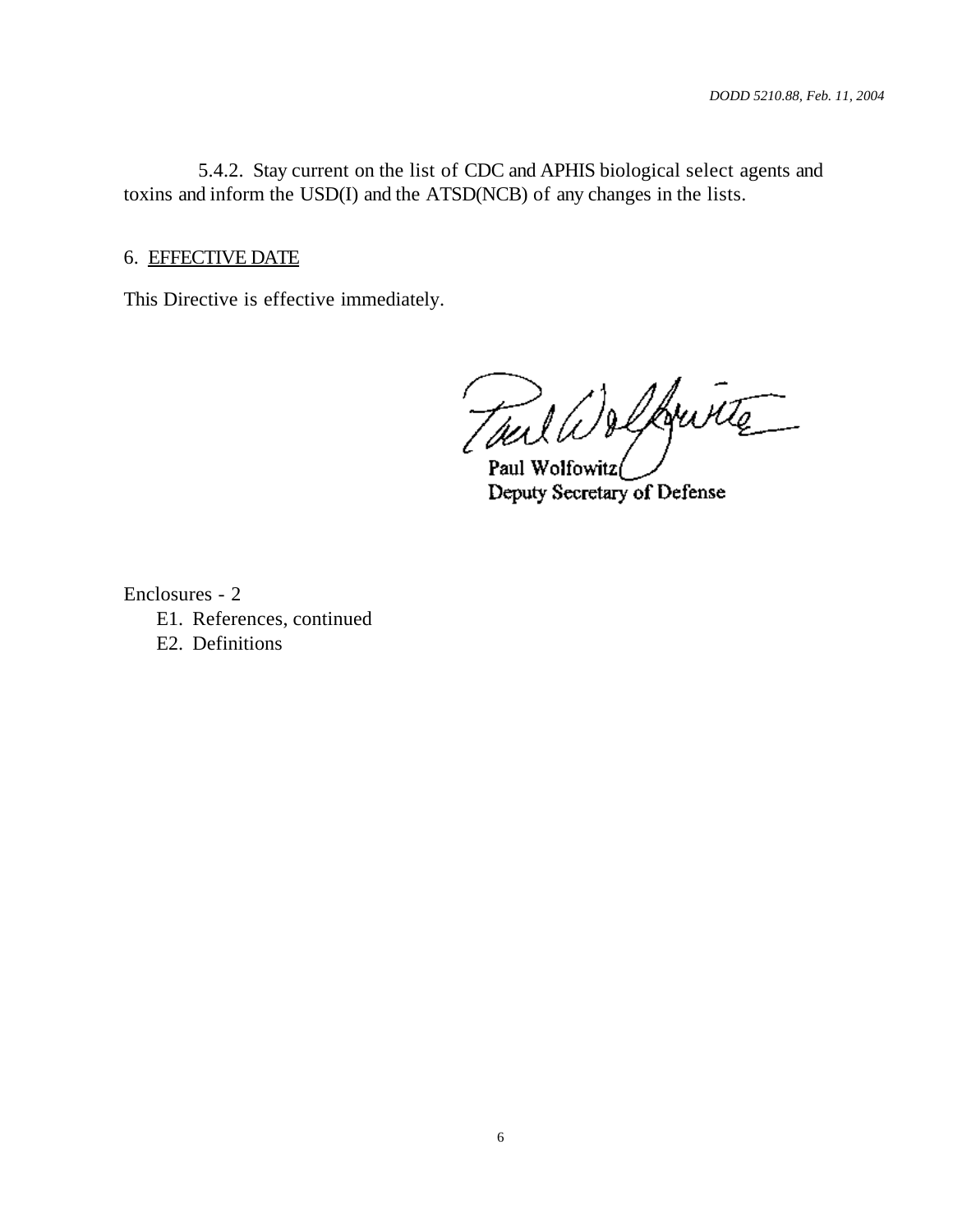5.4.2. Stay current on the list of CDC and APHIS biological select agents and toxins and inform the USD(I) and the ATSD(NCB) of any changes in the lists.

#### 6. EFFECTIVE DATE

This Directive is effective immediately.

Toul Welfruite .<br>Paul Wolfowitz

Deputy Secretary of Defense

Enclosures - 2

- E1. References, continued
- E2. Definitions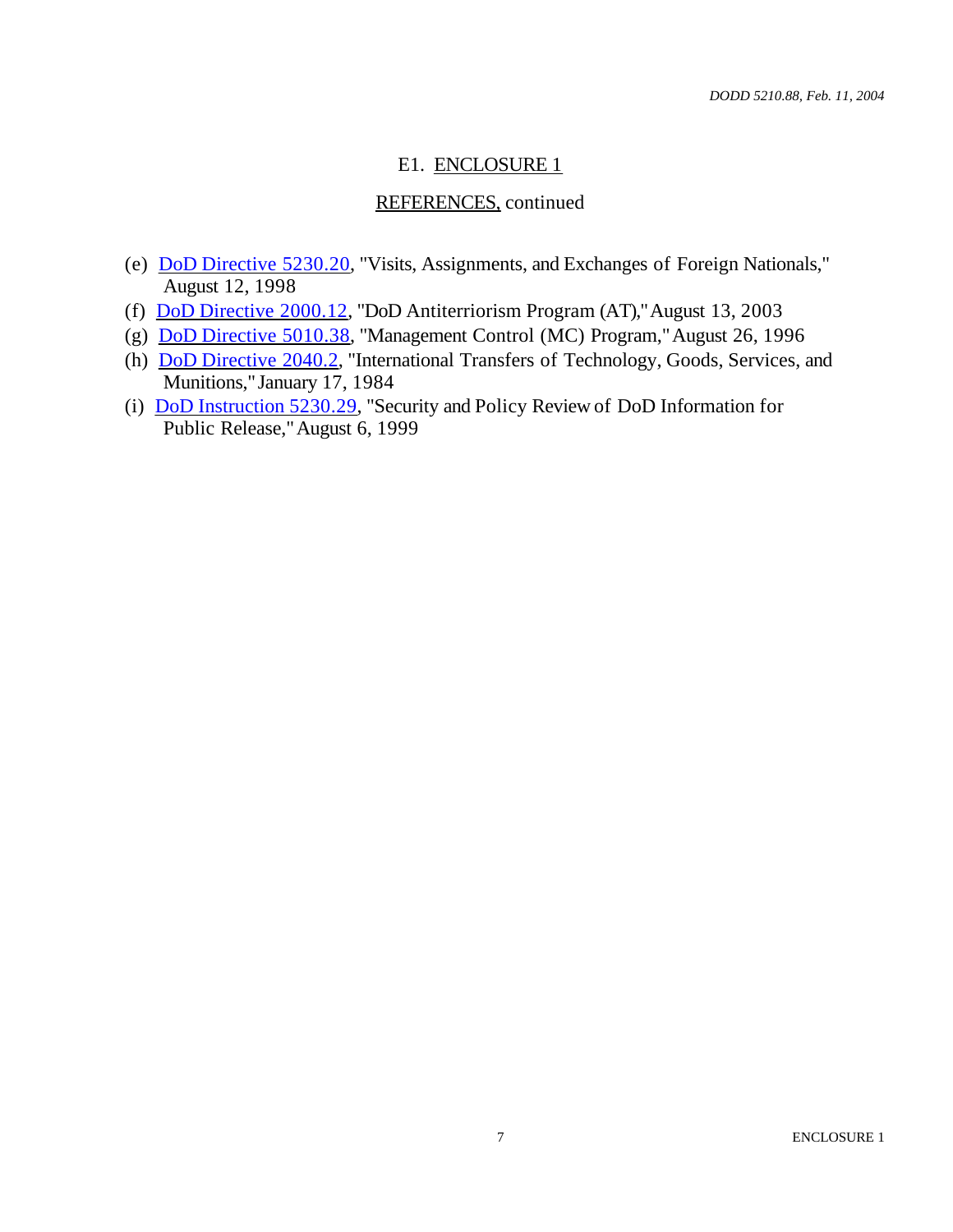## E1. ENCLOSURE 1

# REFERENCES, continued

- (e) DoD Directive 5230.20, "Visits, Assignments, and Exchanges of Foreign Nationals," August 12, 1998
- (f) DoD Directive 2000.12, "DoD Antiterriorism Program (AT)," August 13, 2003
- (g) DoD Directive 5010.38, "Management Control (MC) Program," August 26, 1996
- (h) DoD Directive 2040.2, "International Transfers of Technology, Goods, Services, and Munitions," January 17, 1984
- (i) DoD Instruction 5230.29, "Security and Policy Review of DoD Information for Public Release," August 6, 1999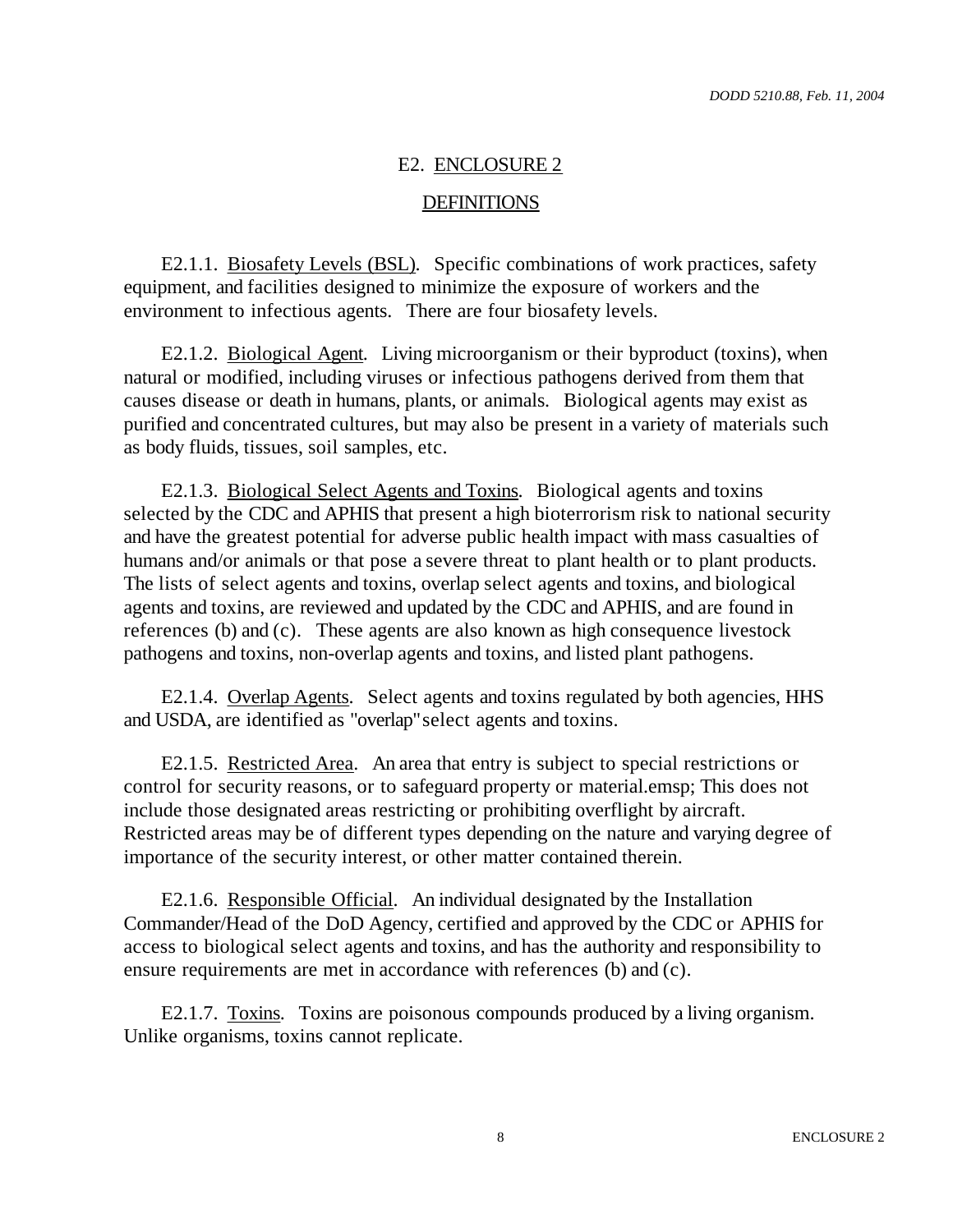#### E2. ENCLOSURE 2

#### **DEFINITIONS**

E2.1.1. Biosafety Levels (BSL). Specific combinations of work practices, safety equipment, and facilities designed to minimize the exposure of workers and the environment to infectious agents. There are four biosafety levels.

E2.1.2. Biological Agent. Living microorganism or their byproduct (toxins), when natural or modified, including viruses or infectious pathogens derived from them that causes disease or death in humans, plants, or animals. Biological agents may exist as purified and concentrated cultures, but may also be present in a variety of materials such as body fluids, tissues, soil samples, etc.

E2.1.3. Biological Select Agents and Toxins. Biological agents and toxins selected by the CDC and APHIS that present a high bioterrorism risk to national security and have the greatest potential for adverse public health impact with mass casualties of humans and/or animals or that pose a severe threat to plant health or to plant products. The lists of select agents and toxins, overlap select agents and toxins, and biological agents and toxins, are reviewed and updated by the CDC and APHIS, and are found in references (b) and (c). These agents are also known as high consequence livestock pathogens and toxins, non-overlap agents and toxins, and listed plant pathogens.

E2.1.4. Overlap Agents. Select agents and toxins regulated by both agencies, HHS and USDA, are identified as "overlap" select agents and toxins.

E2.1.5. Restricted Area. An area that entry is subject to special restrictions or control for security reasons, or to safeguard property or material.emsp; This does not include those designated areas restricting or prohibiting overflight by aircraft. Restricted areas may be of different types depending on the nature and varying degree of importance of the security interest, or other matter contained therein.

E2.1.6. Responsible Official. An individual designated by the Installation Commander/Head of the DoD Agency, certified and approved by the CDC or APHIS for access to biological select agents and toxins, and has the authority and responsibility to ensure requirements are met in accordance with references (b) and (c).

E2.1.7. Toxins. Toxins are poisonous compounds produced by a living organism. Unlike organisms, toxins cannot replicate.